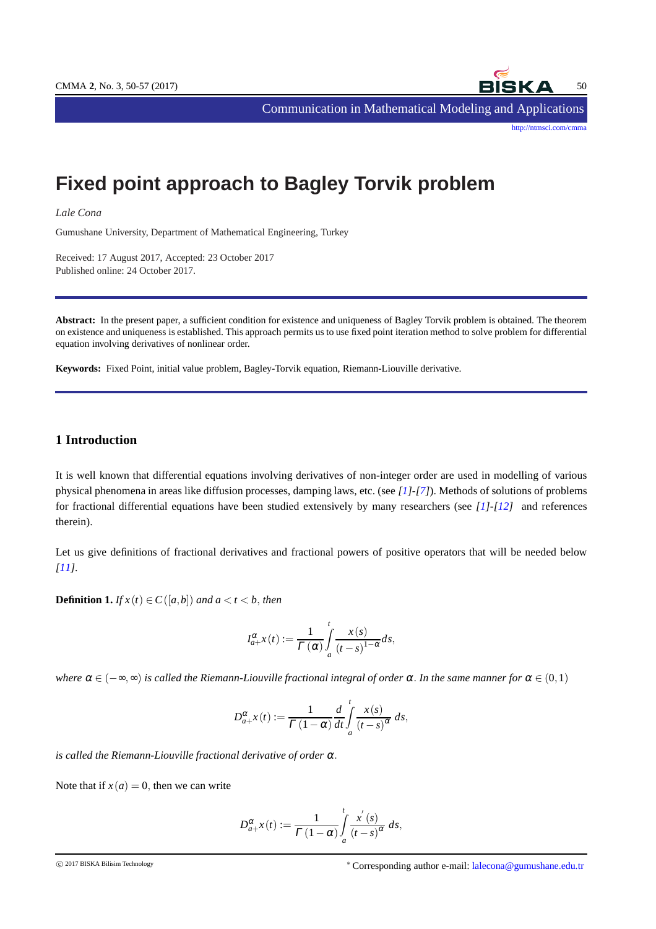

[http://ntmsci.com/cmma](http://ntmsci.com/cmma )

Communication in Mathematical Modeling and Applications

# **Fixed point approach to Bagley Torvik problem**

*Lale Cona*

Gumushane University, Department of Mathematical Engineering, Turkey

Received: 17 August 2017, Accepted: 23 October 2017 Published online: 24 October 2017.

**Abstract:** In the present paper, a sufficient condition for existence and uniqueness of Bagley Torvik problem is obtained. The theorem on existence and uniqueness is established. This approach permits us to use fixed point iteration method to solve problem for differential equation involving derivatives of nonlinear order.

**Keywords:** Fixed Point, initial value problem, Bagley-Torvik equation, Riemann-Liouville derivative.

## **1 Introduction**

It is well known that differential equations involving derivatives of non-integer order are used in modelling of various physical phenomena in areas like diffusion processes, damping laws, etc. (see *[\[1\]](#page-7-0)-[\[7\]](#page-7-1)*). Methods of solutions of problems for fractional differential equations have been studied extensively by many researchers (see *[\[1\]](#page-7-0)-[\[12\]](#page-7-2)* and references therein).

Let us give definitions of fractional derivatives and fractional powers of positive operators that will be needed below *[\[11\]](#page-7-3)*.

**Definition 1.** *If*  $x(t) \in C([a,b])$  *and*  $a < t < b$ , *then* 

$$
I_{a+}^{\alpha}x(t) := \frac{1}{\Gamma(\alpha)} \int_{a}^{t} \frac{x(s)}{(t-s)^{1-\alpha}} ds,
$$

*where*  $\alpha \in (-\infty, \infty)$  *is called the Riemann-Liouville fractional integral of order*  $\alpha$ . *In the same manner for*  $\alpha \in (0,1)$ 

$$
D_{a+}^{\alpha}x(t) := \frac{1}{\Gamma(1-\alpha)}\frac{d}{dt}\int_{a}^{t}\frac{x(s)}{(t-s)^{\alpha}}\,ds,
$$

*is called the Riemann-Liouville fractional derivative of order* <sup>α</sup>.

Note that if  $x(a) = 0$ , then we can write

$$
D_{a+}^{\alpha}x(t) := \frac{1}{\Gamma(1-\alpha)} \int_{a}^{t} \frac{x^{'}(s)}{(t-s)^{\alpha}} ds,
$$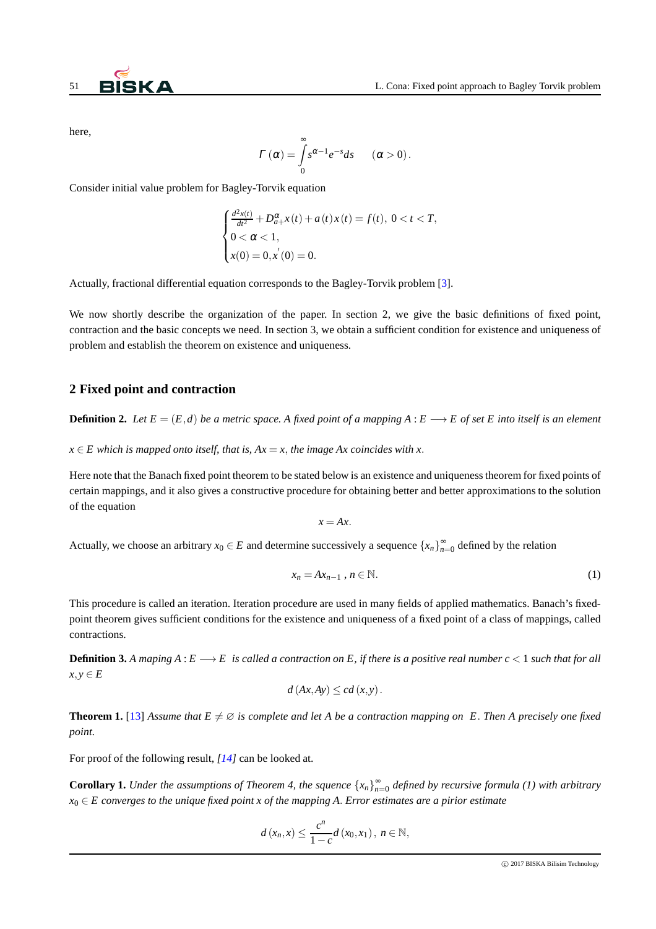

here,

$$
\Gamma(\alpha) = \int_{0}^{\infty} s^{\alpha-1} e^{-s} ds \qquad (\alpha > 0).
$$

Consider initial value problem for Bagley-Torvik equation

$$
\begin{cases}\n\frac{d^2x(t)}{dt^2} + D_{a+}^{\alpha}x(t) + a(t)x(t) = f(t), \ 0 < t < T, \\
0 < \alpha < 1, \\
x(0) = 0, x'(0) = 0.\n\end{cases}
$$

Actually, fractional differential equation corresponds to the Bagley-Torvik problem [\[3\]](#page-7-4).

We now shortly describe the organization of the paper. In section 2, we give the basic definitions of fixed point, contraction and the basic concepts we need. In section 3, we obtain a sufficient condition for existence and uniqueness of problem and establish the theorem on existence and uniqueness.

## **2 Fixed point and contraction**

**Definition 2.** Let  $E = (E,d)$  be a metric space. A fixed point of a mapping  $A : E \longrightarrow E$  of set E into itself is an element

 $x \in E$  which is mapped onto itself, that is,  $Ax = x$ , the image Ax coincides with x.

Here note that the Banach fixed point theorem to be stated below is an existence and uniqueness theorem for fixed points of certain mappings, and it also gives a constructive procedure for obtaining better and better approximations to the solution of the equation

$$
x = Ax.
$$

Actually, we choose an arbitrary  $x_0 \in E$  and determine successively a sequence  $\{x_n\}_{n=0}^{\infty}$  defined by the relation

$$
x_n = Ax_{n-1}, n \in \mathbb{N}.\tag{1}
$$

This procedure is called an iteration. Iteration procedure are used in many fields of applied mathematics. Banach's fixedpoint theorem gives sufficient conditions for the existence and uniqueness of a fixed point of a class of mappings, called contractions.

**Definition 3.** A maping  $A: E \longrightarrow E$  is called a contraction on E, if there is a positive real number  $c < 1$  such that for all  $x, y \in E$ 

$$
d(Ax, Ay) \leq c d(x, y).
$$

**Theorem 1.** [\[13\]](#page-7-5) Assume that  $E \neq \emptyset$  is complete and let A be a contraction mapping on E. Then A precisely one fixed *point.*

For proof of the following result, *[\[14\]](#page-7-6)* can be looked at.

**Corollary 1.** Under the assumptions of Theorem 4, the squence  $\{x_n\}_{n=0}^{\infty}$  defined by recursive formula (1) with arbitrary *x*<sup>0</sup> ∈ *E converges to the unique fixed point x of the mapping A*. *Error estimates are a pirior estimate*

$$
d(x_n,x) \leq \frac{c^n}{1-c}d(x_0,x_1),\ n \in \mathbb{N},
$$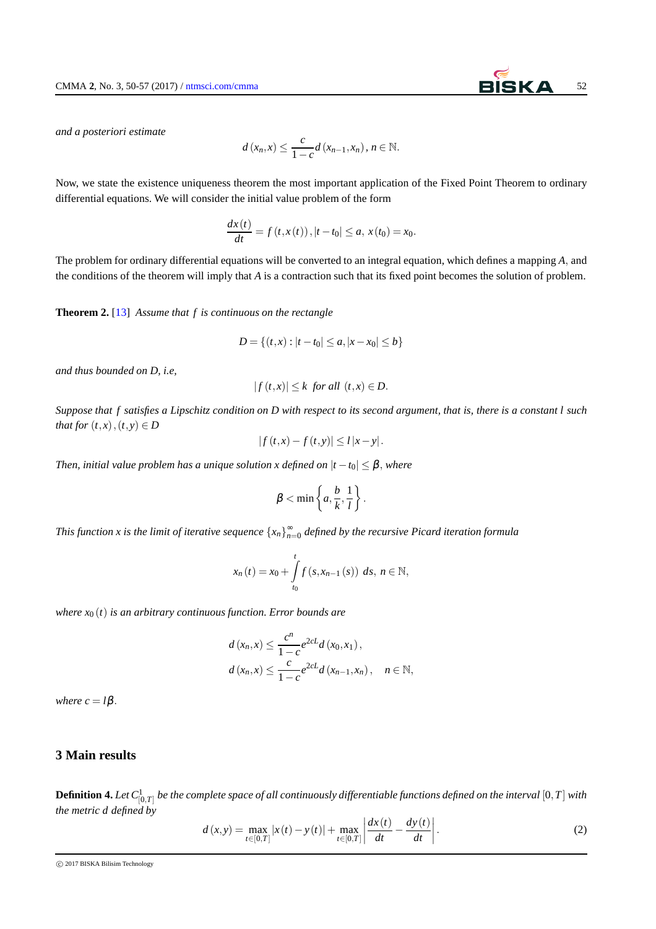*and a posteriori estimate*

$$
d(x_n,x) \leq \frac{c}{1-c}d(x_{n-1},x_n), n \in \mathbb{N}.
$$

Now, we state the existence uniqueness theorem the most important application of the Fixed Point Theorem to ordinary differential equations. We will consider the initial value problem of the form

$$
\frac{dx(t)}{dt} = f(t, x(t)), |t - t_0| \le a, x(t_0) = x_0.
$$

The problem for ordinary differential equations will be converted to an integral equation, which defines a mapping *A*, and the conditions of the theorem will imply that *A* is a contraction such that its fixed point becomes the solution of problem.

**Theorem 2.** [\[13\]](#page-7-5) *Assume that f is continuous on the rectangle*

$$
D = \{(t, x) : |t - t_0| \le a, |x - x_0| \le b\}
$$

*and thus bounded on D, i.e,*

$$
|f(t,x)| \leq k \text{ for all } (t,x) \in D.
$$

*Suppose that f satisfies a Lipschitz condition on D with respect to its second argument, that is, there is a constant l such that for*  $(t, x)$ ,  $(t, y) \in D$ 

$$
|f(t,x) - f(t,y)| \leq l |x - y|
$$
.

*Then, initial value problem has a unique solution x defined on*  $|t-t_0| \leq \beta$ , where

$$
\beta<\min\left\{a,\frac{b}{k},\frac{1}{l}\right\}.
$$

This function x is the limit of iterative sequence  $\{x_n\}_{n=0}^\infty$  defined by the recursive Picard iteration formula

$$
x_n(t) = x_0 + \int_{t_0}^t f(s, x_{n-1}(s)) \ ds, \ n \in \mathbb{N},
$$

*where*  $x_0(t)$  *is an arbitrary continuous function. Error bounds are* 

$$
d(x_n, x) \le \frac{c^n}{1 - c} e^{2cL} d(x_0, x_1),
$$
  
 
$$
d(x_n, x) \le \frac{c}{1 - c} e^{2cL} d(x_{n-1}, x_n), \quad n \in \mathbb{N},
$$

*where*  $c = l\beta$ .

## **3 Main results**

 ${\bf Definition~4.}$  Let  $C^1_{[0,T]}$  be the complete space of all continuously differentiable functions defined on the interval  $[0,T]$  with *the metric d defined by*

$$
d(x,y) = \max_{t \in [0,T]} |x(t) - y(t)| + \max_{t \in [0,T]} \left| \frac{dx(t)}{dt} - \frac{dy(t)}{dt} \right|.
$$
 (2)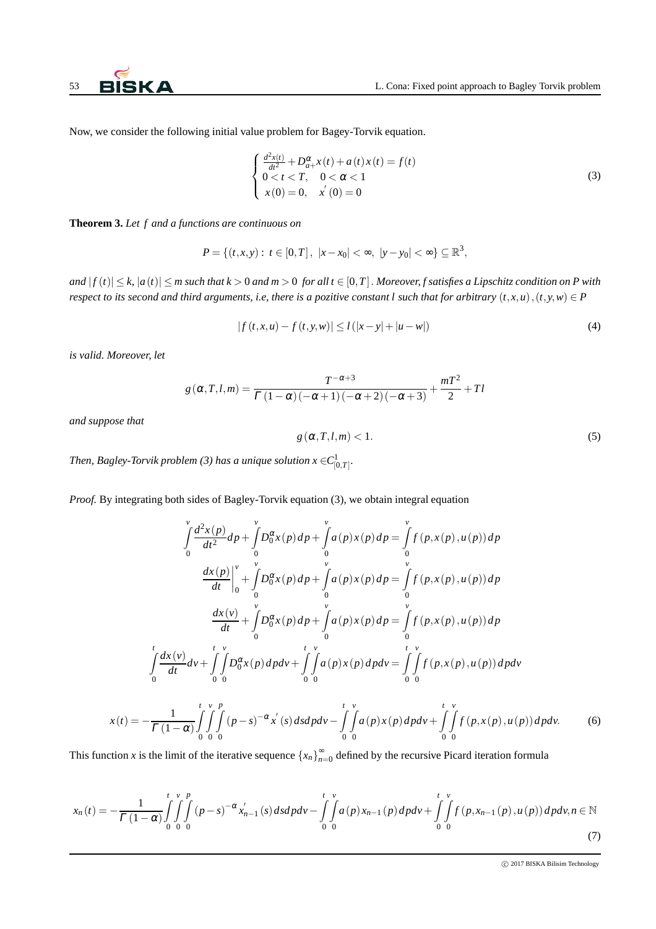Now, we consider the following initial value problem for Bagey-Torvik equation.

$$
\begin{cases}\n\frac{d^2x(t)}{dt^2} + D_{a+}^{\alpha}x(t) + a(t)x(t) = f(t) \\
0 < t < T, \quad 0 < \alpha < 1 \\
x(0) = 0, \quad x'(0) = 0\n\end{cases}
$$
\n(3)

**Theorem 3.** *Let f and a functions are continuous on*

$$
P = \{(t, x, y): t \in [0, T], |x - x_0| < \infty, |y - y_0| < \infty\} \subseteq \mathbb{R}^3,
$$

*and*  $|f(t)| \leq k$ ,  $|a(t)| \leq m$  such that  $k > 0$  and  $m > 0$  for all  $t \in [0, T]$ . Moreover, f satisfies a Lipschitz condition on P with *respect to its second and third arguments, i.e, there is a pozitive constant l such that for arbitrary*  $(t, x, u)$ ,  $(t, y, w) \in P$ 

$$
|f(t, x, u) - f(t, y, w)| \le l(|x - y| + |u - w|)
$$
\n(4)

*is valid. Moreover, let*

$$
g\left(\alpha, T, l, m\right) = \frac{T^{-\alpha+3}}{\Gamma\left(1-\alpha\right)\left(-\alpha+1\right)\left(-\alpha+2\right)\left(-\alpha+3\right)} + \frac{mT^2}{2} + Tl
$$

*and suppose that*

*x*(*t*) = −

$$
g\left(\alpha, T, l, m\right) < 1. \tag{5}
$$

Then, Bagley-Torvik problem (3) has a unique solution  $x\in C^1_{[0,T]}.$ 

*Proof.* By integrating both sides of Bagley-Torvik equation (3), we obtain integral equation

$$
\int_{0}^{v} \frac{d^{2}x(p)}{dt^{2}} dp + \int_{0}^{v} D_{0}^{\alpha}x(p) dp + \int_{0}^{v} a(p)x(p) dp = \int_{0}^{v} f(p,x(p),u(p)) dp
$$
\n
$$
\frac{dx(p)}{dt} \Big|_{0}^{v} + \int_{0}^{v} D_{0}^{\alpha}x(p) dp + \int_{0}^{v} a(p)x(p) dp = \int_{0}^{v} f(p,x(p),u(p)) dp
$$
\n
$$
\frac{dx(v)}{dt} + \int_{0}^{v} D_{0}^{\alpha}x(p) dp + \int_{0}^{v} a(p)x(p) dp = \int_{0}^{v} f(p,x(p),u(p)) dp
$$
\n
$$
\int_{0}^{t} \frac{dx(v)}{dt} dv + \int_{0}^{t} \int_{0}^{v} D_{0}^{\alpha}x(p) dp dv + \int_{0}^{t} \int_{0}^{v} a(p)x(p) dp dv = \int_{0}^{t} \int_{0}^{v} f(p,x(p),u(p)) dp dv
$$
\n
$$
(t) = -\frac{1}{\Gamma(1-\alpha)} \int_{0}^{t} \int_{0}^{v} \int_{0}^{p} (p-s)^{-\alpha}x'(s) ds dp dv - \int_{0}^{t} \int_{0}^{v} a(p)x(p) dp dv + \int_{0}^{t} \int_{0}^{v} f(p,x(p),u(p)) dp dv.
$$
\n(6)

This function *x* is the limit of the iterative sequence  $\{x_n\}_{n=0}^{\infty}$  defined by the recursive Picard iteration formula

$$
x_n(t) = -\frac{1}{\Gamma(1-\alpha)} \int_0^t \int_0^v \int_0^p (p-s)^{-\alpha} x'_{n-1}(s) ds dp dv - \int_0^t \int_0^v a(p) x_{n-1}(p) dp dv + \int_0^t \int_0^v f(p, x_{n-1}(p), u(p)) dp dv, n \in \mathbb{N}
$$
\n(7)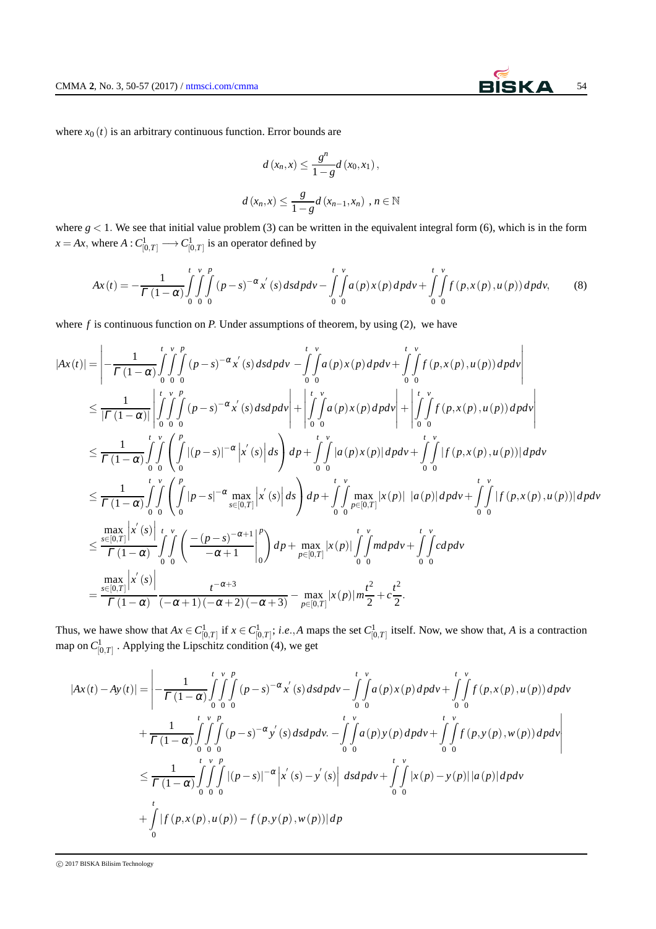where  $x_0(t)$  is an arbitrary continuous function. Error bounds are

$$
d(x_n, x) \le \frac{g^n}{1 - g} d(x_0, x_1),
$$
  

$$
d(x_n, x) \le \frac{g}{1 - g} d(x_{n-1}, x_n), n \in \mathbb{N}
$$

where  $g < 1$ . We see that initial value problem (3) can be written in the equivalent integral form (6), which is in the form  $x = Ax$ , where  $A: C^1_{[0,T]} \longrightarrow C^1_{[0,T]}$  is an operator defined by

$$
Ax(t) = -\frac{1}{\Gamma(1-\alpha)} \int_{0}^{t} \int_{0}^{v} \int_{0}^{p} (p-s)^{-\alpha} x'(s) ds dp dv - \int_{0}^{t} \int_{0}^{v} a(p) x(p) dp dv + \int_{0}^{t} \int_{0}^{v} f(p, x(p), u(p)) dp dv,
$$
 (8)

where  $f$  is continuous function on  $P$ . Under assumptions of theorem, by using (2), we have

$$
|Ax(t)| = \left| -\frac{1}{\Gamma(1-\alpha)} \int_{0}^{t} \int_{0}^{v} (p-s)^{-\alpha} x^{'}(s) ds dp dv - \int_{0}^{t} \int_{0}^{v} a(p) x(p) dp dv + \int_{0}^{t} \int_{0}^{v} f(p, x(p), u(p)) dp dv \right|
$$
  
\n
$$
\leq \frac{1}{|\Gamma(1-\alpha)|} \left| \int_{0}^{t} \int_{0}^{v} (p-s)^{-\alpha} x^{'}(s) ds dp dv \right| + \left| \int_{0}^{t} \int_{0}^{v} a(p) x(p) dp dv \right| + \left| \int_{0}^{t} \int_{0}^{v} f(p, x(p), u(p)) dp dv \right|
$$
  
\n
$$
\leq \frac{1}{\Gamma(1-\alpha)} \int_{0}^{t} \int_{0}^{v} \left( \int_{0}^{p} |(p-s)|^{-\alpha} |x^{'}(s)| ds \right) dp + \int_{0}^{t} \int_{0}^{v} |a(p) x(p)| dp dv + \int_{0}^{t} \int_{0}^{v} |f(p, x(p), u(p))| dp dv
$$
  
\n
$$
\leq \frac{1}{\Gamma(1-\alpha)} \int_{0}^{t} \int_{0}^{v} \left( \int_{0}^{p} |p-s|^{-\alpha} \max_{s \in [0, T]} |x^{'}(s)| ds \right) dp + \int_{0}^{t} \int_{0}^{v} \max_{p \in [0, T]} |x(p)| |a(p)| dp dv + \int_{0}^{t} \int_{0}^{v} |f(p, x(p), u(p))| dp dv
$$
  
\n
$$
\leq \frac{\max_{s \in [0, T]} |x^{'}(s)|}{\Gamma(1-\alpha)} \int_{0}^{t} \int_{0}^{v} \left( \frac{-(p-s)^{-\alpha+1}}{-\alpha+1} \Big|_{0}^{p} \right) dp + \max_{p \in [0, T]} |x(p)| \int_{0}^{t} \int_{0}^{w} m dp dv + \int_{0}^{t} \int_{0}^{v} c dp dv
$$
  
\n
$$
= \frac{\max_{s \in [0, T]} |x^{'}(s)|}{\Gamma(1-\alpha)} \frac{1}{(-\alpha+1)(-\alpha+2)(-\alpha+3)} - \max_{p \in [0, T]} |x(p)| m \frac{t^{2}}{2
$$

Thus, we hawe show that  $Ax \in C^1_{[0,T]}$  if  $x \in C^1_{[0,T]}$ ; *i.e.*, *A* maps the set  $C^1_{[0,T]}$  itself. Now, we show that, *A* is a contraction map on  $C_{[0,T]}^1$  . Applying the Lipschitz condition (4), we get

$$
|Ax(t) - Ay(t)| = \left| -\frac{1}{\Gamma(1-\alpha)} \int_{0}^{t} \int_{0}^{v} \int_{0}^{p} (p-s)^{-\alpha} x^{'}(s) ds dp dv - \int_{0}^{t} \int_{0}^{v} a(p)x(p) dp dv + \int_{0}^{t} \int_{0}^{v} f(p, x(p), u(p)) dp dv \right|
$$
  
+ 
$$
\frac{1}{\Gamma(1-\alpha)} \int_{0}^{t} \int_{0}^{v} \int_{0}^{p} (p-s)^{-\alpha} y^{'}(s) ds dp dv - \int_{0}^{t} \int_{0}^{v} a(p)y(p) dp dv + \int_{0}^{t} \int_{0}^{v} f(p, y(p), w(p)) dp dv \right|
$$
  

$$
\leq \frac{1}{\Gamma(1-\alpha)} \int_{0}^{t} \int_{0}^{v} \int_{0}^{p} |(p-s)|^{-\alpha} |x^{'}(s) - y^{'}(s)| ds dp dv + \int_{0}^{t} \int_{0}^{v} |x(p) - y(p)| |a(p)| dp dv
$$
  
+ 
$$
\int_{0}^{t} |f(p, x(p), u(p)) - f(p, y(p), w(p))| dp
$$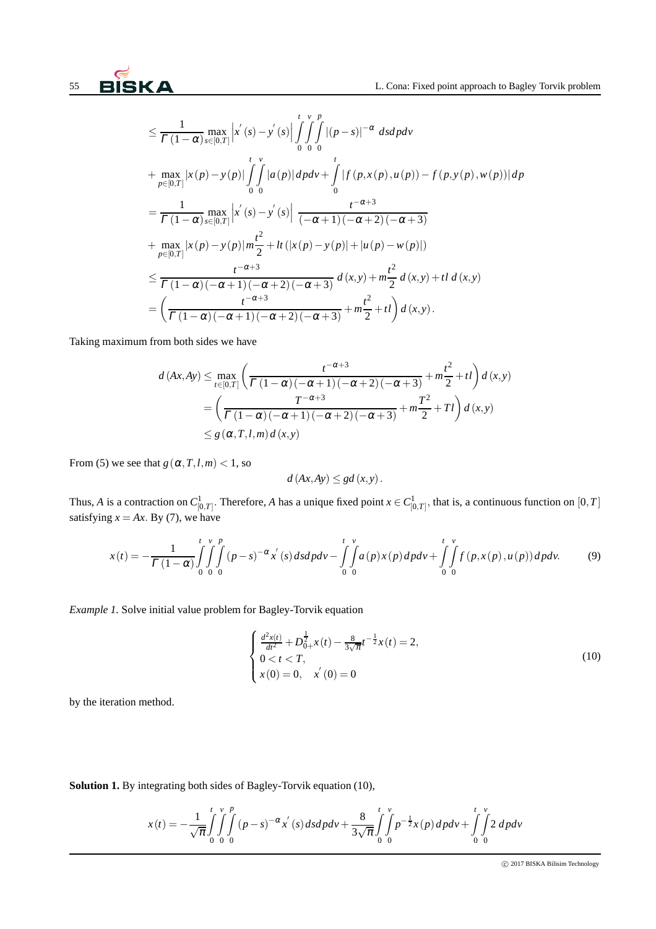$$
\leq \frac{1}{\Gamma(1-\alpha)} \max_{s \in [0,T]} \left| x'(s) - y'(s) \right| \int_{0}^{t} \int_{0}^{v} \int_{0}^{p} |(p-s)|^{-\alpha} ds dp dv
$$
  
+ 
$$
\max_{p \in [0,T]} |x(p) - y(p)| \int_{0}^{t} \int_{0}^{v} |a(p)| dp dv + \int_{0}^{t} |f(p,x(p),u(p)) - f(p,y(p),w(p))| dp
$$
  
= 
$$
\frac{1}{\Gamma(1-\alpha)} \max_{s \in [0,T]} \left| x'(s) - y'(s) \right| \frac{t^{-\alpha+3}}{(-\alpha+1)(-\alpha+2)(-\alpha+3)}
$$
  
+ 
$$
\max_{p \in [0,T]} |x(p) - y(p)| m \frac{t^2}{2} + It(|x(p) - y(p)| + |u(p) - w(p)|)
$$
  

$$
\leq \frac{t^{-\alpha+3}}{\Gamma(1-\alpha)(-\alpha+1)(-\alpha+2)(-\alpha+3)} d(x,y) + m \frac{t^2}{2} d(x,y) + tl d(x,y)
$$
  
= 
$$
\left( \frac{t^{-\alpha+3}}{\Gamma(1-\alpha)(-\alpha+1)(-\alpha+2)(-\alpha+3)} + m \frac{t^2}{2} + tl \right) d(x,y).
$$

Taking maximum from both sides we have

$$
d(Ax, Ay) \le \max_{t \in [0,T]} \left( \frac{t^{-\alpha+3}}{\Gamma(1-\alpha)(-\alpha+1)(-\alpha+2)(-\alpha+3)} + m\frac{t^2}{2} + tl \right) d(x,y)
$$
  
= 
$$
\left( \frac{T^{-\alpha+3}}{\Gamma(1-\alpha)(-\alpha+1)(-\alpha+2)(-\alpha+3)} + m\frac{T^2}{2} + Tl \right) d(x,y)
$$
  
\$\leq g(\alpha, T, l, m) d(x,y)\$

From (5) we see that  $g(\alpha, T, l, m) < 1$ , so

$$
d(Ax, Ay) \leq gd(x, y).
$$

Thus, *A* is a contraction on  $C^1_{[0,T]}$ . Therefore, *A* has a unique fixed point  $x \in C^1_{[0,T]}$ , that is, a continuous function on  $[0,T]$ satisfying  $x = Ax$ . By (7), we have

$$
x(t) = -\frac{1}{\Gamma(1-\alpha)} \int_{0}^{t} \int_{0}^{v} \int_{0}^{p} (p-s)^{-\alpha} x^{'}(s) ds dp dv - \int_{0}^{t} \int_{0}^{v} a(p) x(p) dp dv + \int_{0}^{t} \int_{0}^{v} f(p, x(p), u(p)) dp dv.
$$
 (9)

*Example 1.* Solve initial value problem for Bagley-Torvik equation

$$
\begin{cases} \frac{d^2x(t)}{dt^2} + D_{0+}^{\frac{1}{2}}x(t) - \frac{8}{3\sqrt{\pi}}t^{-\frac{1}{2}}x(t) = 2, \\ 0 < t < T, \\ x(0) = 0, \quad x^{'}(0) = 0 \end{cases}
$$
(10)

by the iteration method.

**Solution 1.** By integrating both sides of Bagley-Torvik equation (10),

$$
x(t) = -\frac{1}{\sqrt{\pi}} \int_{0}^{t} \int_{0}^{v} \int_{0}^{p} (p - s)^{-\alpha} x^{'}(s) ds dp dv + \frac{8}{3\sqrt{\pi}} \int_{0}^{t} \int_{0}^{v} p^{-\frac{1}{2}} x(p) dp dv + \int_{0}^{t} \int_{0}^{v} 2 dp dv
$$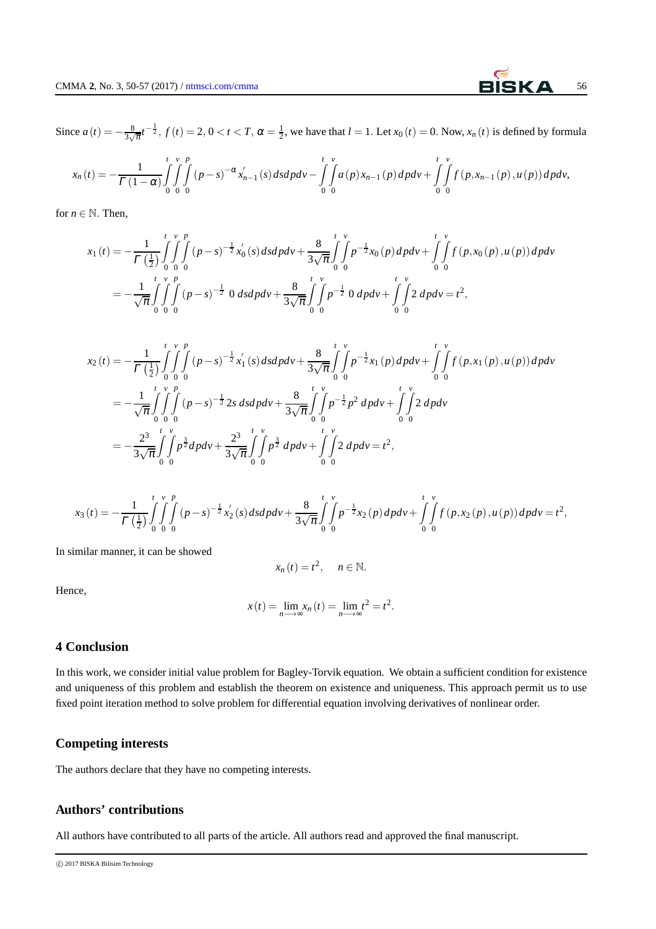Since  $a(t) = -\frac{8}{3\sqrt{2}}$  $\frac{8}{3\sqrt{\pi}}t^{-\frac{1}{2}}$ ,  $f(t) = 2$ ,  $0 < t < T$ ,  $\alpha = \frac{1}{2}$ , we have that  $l = 1$ . Let  $x_0(t) = 0$ . Now,  $x_n(t)$  is defined by formula

$$
x_n(t) = -\frac{1}{\Gamma(1-\alpha)} \int_{0}^{t} \int_{0}^{v} \int_{0}^{p} (p-s)^{-\alpha} x'_{n-1}(s) ds dp dv - \int_{0}^{t} \int_{0}^{v} a(p) x_{n-1}(p) dp dv + \int_{0}^{t} \int_{0}^{v} f(p, x_{n-1}(p), u(p)) dp dv,
$$

for  $n \in \mathbb{N}$ . Then,

$$
x_1(t) = -\frac{1}{\Gamma(\frac{1}{2})} \int_0^t \int_0^v \int_0^p (p-s)^{-\frac{1}{2}} x'_0(s) ds dp dv + \frac{8}{3\sqrt{\pi}} \int_0^t \int_0^v p^{-\frac{1}{2}} x_0(p) dp dv + \int_0^t \int_0^v f(p, x_0(p), u(p)) dp dv
$$
  
= 
$$
-\frac{1}{\sqrt{\pi}} \int_0^t \int_0^v (p-s)^{-\frac{1}{2}} 0 ds dp dv + \frac{8}{3\sqrt{\pi}} \int_0^t \int_0^v p^{-\frac{1}{2}} 0 dp dv + \int_0^t \int_0^v 2 dp dv = t^2,
$$

$$
x_2(t) = -\frac{1}{\Gamma(\frac{1}{2})} \int_0^t \int_0^v \int_0^p (p-s)^{-\frac{1}{2}} x_1'(s) ds dp dv + \frac{8}{3\sqrt{\pi}} \int_0^t \int_0^v p^{-\frac{1}{2}} x_1(p) dp dv + \int_0^t \int_0^v f(p, x_1(p), u(p)) dp dv
$$
  

$$
= -\frac{1}{\sqrt{\pi}} \int_0^t \int_0^v (p-s)^{-\frac{1}{2}} 2s ds dp dv + \frac{8}{3\sqrt{\pi}} \int_0^t \int_0^v p^{-\frac{1}{2}} p^2 dp dv + \int_0^t \int_0^v 2 dp dv
$$
  

$$
= -\frac{2^3}{3\sqrt{\pi}} \int_0^t \int_0^v p^{\frac{3}{2}} dp dv + \frac{2^3}{3\sqrt{\pi}} \int_0^t \int_0^v p^{\frac{3}{2}} dp dv + \int_0^t \int_0^v 2 dp dv = t^2,
$$

$$
x_3(t) = -\frac{1}{\Gamma(\frac{1}{2})}\int_0^t \int_0^v \int_0^p (p-s)^{-\frac{1}{2}}x_2'(s) ds dp dv + \frac{8}{3\sqrt{\pi}}\int_0^t \int_0^v p^{-\frac{1}{2}}x_2(p) dp dv + \int_0^t \int_0^v f(p,x_2(p),u(p)) dp dv = t^2,
$$

In similar manner, it can be showed

$$
x_n(t)=t^2, \quad n\in\mathbb{N}.
$$

Hence,

$$
x(t) = \lim_{n \to \infty} x_n(t) = \lim_{n \to \infty} t^2 = t^2.
$$

## **4 Conclusion**

In this work, we consider initial value problem for Bagley-Torvik equation. We obtain a sufficient condition for existence and uniqueness of this problem and establish the theorem on existence and uniqueness. This approach permit us to use fixed point iteration method to solve problem for differential equation involving derivatives of nonlinear order.

## **Competing interests**

The authors declare that they have no competing interests.

## **Authors' contributions**

All authors have contributed to all parts of the article. All authors read and approved the final manuscript.

c 2017 BISKA Bilisim Technology